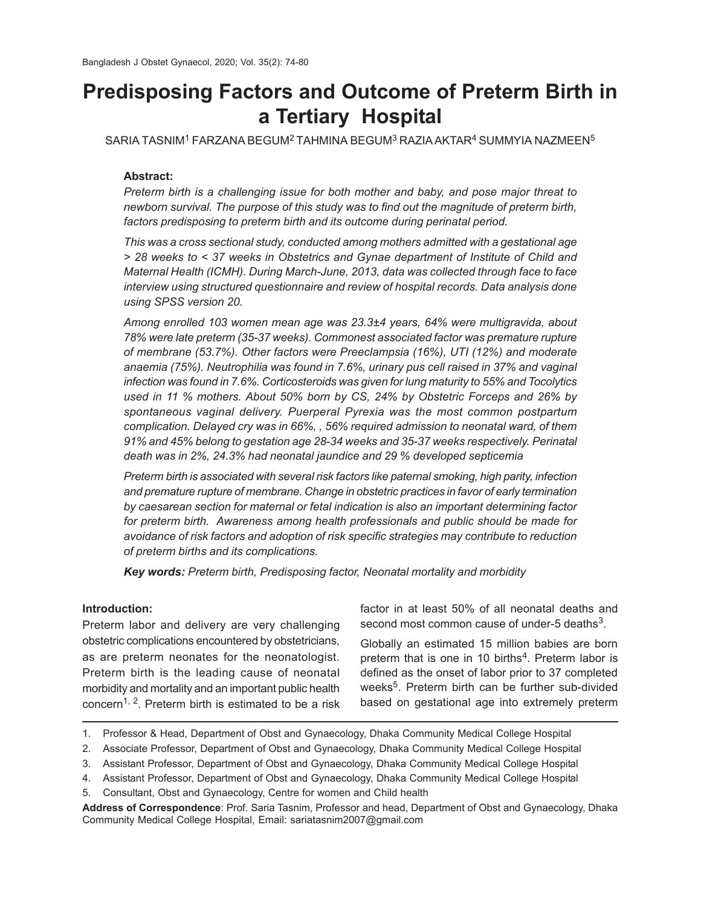# **Predisposing Factors and Outcome of Preterm Birth in a Tertiary Hospital**

SARIA TASNIM1 FARZANA BEGUM2 TAHMINA BEGUM3 RAZIAAKTAR4 SUMMYIA NAZMEEN<sup>5</sup>

### **Abstract:**

*Preterm birth is a challenging issue for both mother and baby, and pose major threat to newborn survival. The purpose of this study was to find out the magnitude of preterm birth, factors predisposing to preterm birth and its outcome during perinatal period.*

*This was a cross sectional study, conducted among mothers admitted with a gestational age > 28 weeks to < 37 weeks in Obstetrics and Gynae department of Institute of Child and Maternal Health (ICMH). During March-June, 2013, data was collected through face to face interview using structured questionnaire and review of hospital records. Data analysis done using SPSS version 20.*

*Among enrolled 103 women mean age was 23.3±4 years, 64% were multigravida, about 78% were late preterm (35-37 weeks). Commonest associated factor was premature rupture of membrane (53.7%). Other factors were Preeclampsia (16%), UTI (12%) and moderate anaemia (75%). Neutrophilia was found in 7.6%, urinary pus cell raised in 37% and vaginal infection was found in 7.6%. Corticosteroids was given for lung maturity to 55% and Tocolytics used in 11 % mothers. About 50% born by CS, 24% by Obstetric Forceps and 26% by spontaneous vaginal delivery. Puerperal Pyrexia was the most common postpartum complication. Delayed cry was in 66%, , 56% required admission to neonatal ward, of them 91% and 45% belong to gestation age 28-34 weeks and 35-37 weeks respectively. Perinatal death was in 2%, 24.3% had neonatal jaundice and 29 % developed septicemia*

*Preterm birth is associated with several risk factors like paternal smoking, high parity, infection and premature rupture of membrane. Change in obstetric practices in favor of early termination by caesarean section for maternal or fetal indication is also an important determining factor for preterm birth. Awareness among health professionals and public should be made for avoidance of risk factors and adoption of risk specific strategies may contribute to reduction of preterm births and its complications.*

*Key words: Preterm birth, Predisposing factor, Neonatal mortality and morbidity*

## **Introduction:**

Preterm labor and delivery are very challenging obstetric complications encountered by obstetricians, as are preterm neonates for the neonatologist. Preterm birth is the leading cause of neonatal morbidity and mortality and an important public health concern<sup>1, 2</sup>. Preterm birth is estimated to be a risk factor in at least 50% of all neonatal deaths and second most common cause of under-5 deaths $3$ .

Globally an estimated 15 million babies are born preterm that is one in 10 births<sup>4</sup>. Preterm labor is defined as the onset of labor prior to 37 completed weeks<sup>5</sup>. Preterm birth can be further sub-divided based on gestational age into extremely preterm

<sup>1.</sup> Professor & Head, Department of Obst and Gynaecology, Dhaka Community Medical College Hospital

<sup>2.</sup> Associate Professor, Department of Obst and Gynaecology, Dhaka Community Medical College Hospital

<sup>3.</sup> Assistant Professor, Department of Obst and Gynaecology, Dhaka Community Medical College Hospital

<sup>4.</sup> Assistant Professor, Department of Obst and Gynaecology, Dhaka Community Medical College Hospital

<sup>5.</sup> Consultant, Obst and Gynaecology, Centre for women and Child health

**Address of Correspondence**: Prof. Saria Tasnim, Professor and head, Department of Obst and Gynaecology, Dhaka Community Medical College Hospital, Email: sariatasnim2007@gmail.com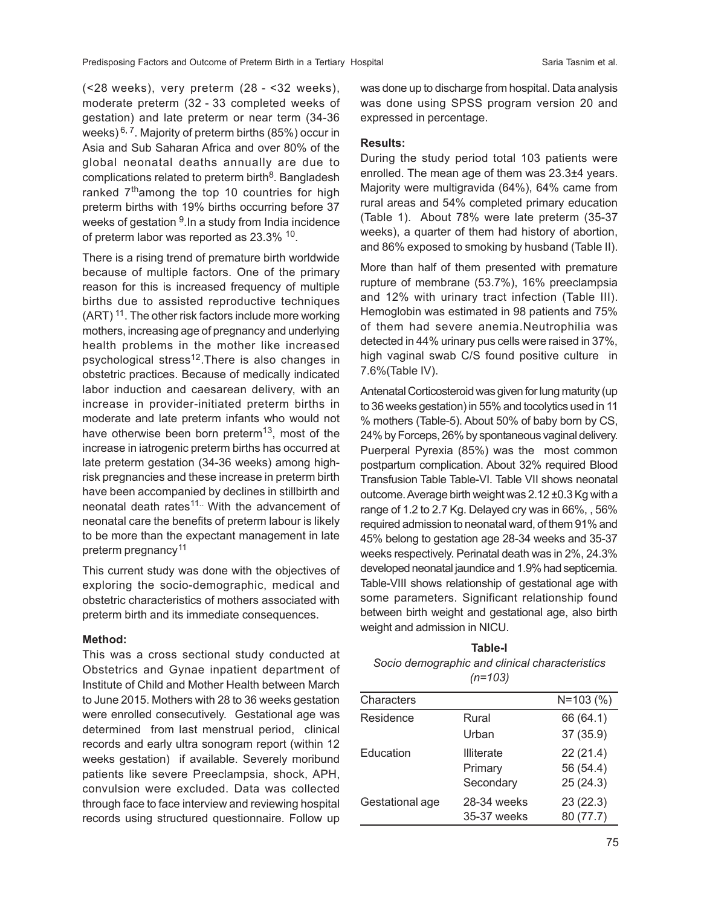(<28 weeks), very preterm (28 - <32 weeks), moderate preterm (32 - 33 completed weeks of gestation) and late preterm or near term (34-36 weeks)  $6, 7$ . Majority of preterm births (85%) occur in Asia and Sub Saharan Africa and over 80% of the global neonatal deaths annually are due to complications related to preterm birth $^8$ . Bangladesh ranked 7<sup>th</sup>among the top 10 countries for high preterm births with 19% births occurring before 37 weeks of gestation <sup>9</sup>.In a study from India incidence of preterm labor was reported as 23.3%  $^{10}$ .

There is a rising trend of premature birth worldwide because of multiple factors. One of the primary reason for this is increased frequency of multiple births due to assisted reproductive techniques  $(ART)$ <sup>11</sup>. The other risk factors include more working mothers, increasing age of pregnancy and underlying health problems in the mother like increased psychological stress<sup>12</sup>. There is also changes in obstetric practices. Because of medically indicated labor induction and caesarean delivery, with an increase in provider-initiated preterm births in moderate and late preterm infants who would not have otherwise been born preterm<sup>13</sup>, most of the increase in iatrogenic preterm births has occurred at late preterm gestation (34-36 weeks) among highrisk pregnancies and these increase in preterm birth have been accompanied by declines in stillbirth and neonatal death rates<sup>11.</sup> With the advancement of neonatal care the benefits of preterm labour is likely to be more than the expectant management in late preterm pregnancy<sup>11</sup>

This current study was done with the objectives of exploring the socio-demographic, medical and obstetric characteristics of mothers associated with preterm birth and its immediate consequences.

#### **Method:**

This was a cross sectional study conducted at Obstetrics and Gynae inpatient department of Institute of Child and Mother Health between March to June 2015. Mothers with 28 to 36 weeks gestation were enrolled consecutively. Gestational age was determined from last menstrual period, clinical records and early ultra sonogram report (within 12 weeks gestation) if available. Severely moribund patients like severe Preeclampsia, shock, APH, convulsion were excluded. Data was collected through face to face interview and reviewing hospital records using structured questionnaire. Follow up

was done up to discharge from hospital. Data analysis was done using SPSS program version 20 and expressed in percentage.

#### **Results:**

During the study period total 103 patients were enrolled. The mean age of them was 23.3±4 years. Majority were multigravida (64%), 64% came from rural areas and 54% completed primary education (Table 1). About 78% were late preterm (35-37 weeks), a quarter of them had history of abortion, and 86% exposed to smoking by husband (Table II).

More than half of them presented with premature rupture of membrane (53.7%), 16% preeclampsia and 12% with urinary tract infection (Table III). Hemoglobin was estimated in 98 patients and 75% of them had severe anemia.Neutrophilia was detected in 44% urinary pus cells were raised in 37%, high vaginal swab C/S found positive culture in 7.6%(Table IV).

Antenatal Corticosteroid was given for lung maturity (up to 36 weeks gestation) in 55% and tocolytics used in 11 % mothers (Table-5). About 50% of baby born by CS, 24% by Forceps, 26% by spontaneous vaginal delivery. Puerperal Pyrexia (85%) was the most common postpartum complication. About 32% required Blood Transfusion Table Table-VI. Table VII shows neonatal outcome. Average birth weight was 2.12 ±0.3 Kg with a range of 1.2 to 2.7 Kg. Delayed cry was in 66%, , 56% required admission to neonatal ward, of them 91% and 45% belong to gestation age 28-34 weeks and 35-37 weeks respectively. Perinatal death was in 2%, 24.3% developed neonatal jaundice and 1.9% had septicemia. Table-VIII shows relationship of gestational age with some parameters. Significant relationship found between birth weight and gestational age, also birth weight and admission in NICU.

| Table-I                                        |
|------------------------------------------------|
| Socio demographic and clinical characteristics |
| $(n=103)$                                      |

| Characters      |                   | $N = 103 (%)$ |
|-----------------|-------------------|---------------|
| Residence       | Rural             | 66 (64.1)     |
|                 | Urban             | 37 (35.9)     |
| Education       | <b>Illiterate</b> | 22(21.4)      |
|                 | Primary           | 56 (54.4)     |
|                 | Secondary         | 25(24.3)      |
| Gestational age | 28-34 weeks       | 23(22.3)      |
|                 | 35-37 weeks       | 80 (77.7)     |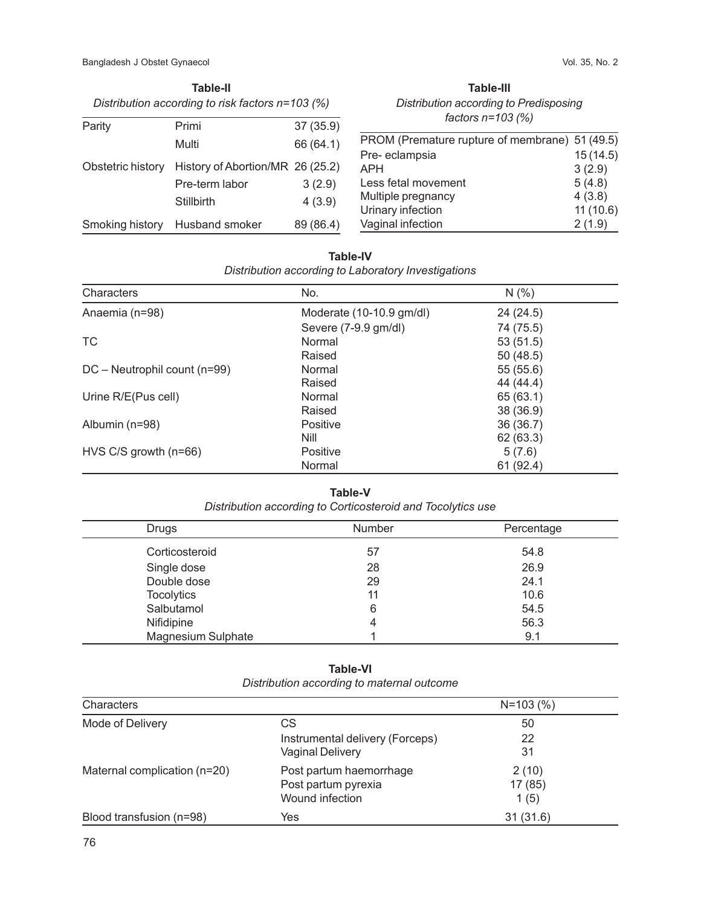| Distribution according to risk factors $n=103$ (%) |                                  |           |  |
|----------------------------------------------------|----------------------------------|-----------|--|
| Parity                                             | Primi                            | 37 (35.9) |  |
|                                                    | Multi                            | 66 (64.1) |  |
| Obstetric history                                  | History of Abortion/MR 26 (25.2) |           |  |
|                                                    | Pre-term labor                   | 3(2.9)    |  |
|                                                    | Stillbirth                       | 4(3.9)    |  |
| Smoking history                                    | Husband smoker                   | 89 (86.4) |  |

**Table-II**

| Table-III                              |
|----------------------------------------|
| Distribution according to Predisposing |
| factors $n=103$ (%)                    |

| PROM (Premature rupture of membrane) 51 (49.5) |          |
|------------------------------------------------|----------|
| Pre-eclampsia                                  | 15(14.5) |
| APH                                            | 3(2.9)   |
| Less fetal movement                            | 5(4.8)   |
| Multiple pregnancy                             | 4(3.8)   |
| Urinary infection                              | 11(10.6) |
| Vaginal infection                              | 2(1.9)   |
|                                                |          |

| <b>Table-IV</b>                                     |
|-----------------------------------------------------|
| Distribution according to Laboratory Investigations |

| Characters                   | No.                      | N(% )     |
|------------------------------|--------------------------|-----------|
| Anaemia (n=98)               | Moderate (10-10.9 gm/dl) | 24 (24.5) |
|                              | Severe (7-9.9 gm/dl)     | 74 (75.5) |
| ТC                           | Normal                   | 53(51.5)  |
|                              | Raised                   | 50(48.5)  |
| DC - Neutrophil count (n=99) | Normal                   | 55(55.6)  |
|                              | Raised                   | 44 (44.4) |
| Urine R/E(Pus cell)          | Normal                   | 65 (63.1) |
|                              | Raised                   | 38 (36.9) |
| Albumin (n=98)               | Positive                 | 36(36.7)  |
|                              | Nill                     | 62 (63.3) |
| $HVS C/S$ growth (n=66)      | Positive                 | 5(7.6)    |
|                              | Normal                   | 61(92.4)  |

#### **Table-V**

*Distribution according to Corticosteroid and Tocolytics use*

| Drugs              | Number | Percentage |
|--------------------|--------|------------|
| Corticosteroid     | 57     | 54.8       |
| Single dose        | 28     | 26.9       |
| Double dose        | 29     | 24.1       |
| <b>Tocolytics</b>  | 11     | 10.6       |
| Salbutamol         | 6      | 54.5       |
| Nifidipine         | 4      | 56.3       |
| Magnesium Sulphate |        | 9.1        |

## **Table-VI** *Distribution according to maternal outcome*

| Characters                   |                                 | $N = 103$ (%) |
|------------------------------|---------------------------------|---------------|
| Mode of Delivery             | СS                              | 50            |
|                              | Instrumental delivery (Forceps) | 22            |
|                              | <b>Vaginal Delivery</b>         | 31            |
| Maternal complication (n=20) | Post partum haemorrhage         | 2(10)         |
|                              | Post partum pyrexia             | 17(85)        |
|                              | Wound infection                 | 1(5)          |
| Blood transfusion (n=98)     | Yes                             | 31(31.6)      |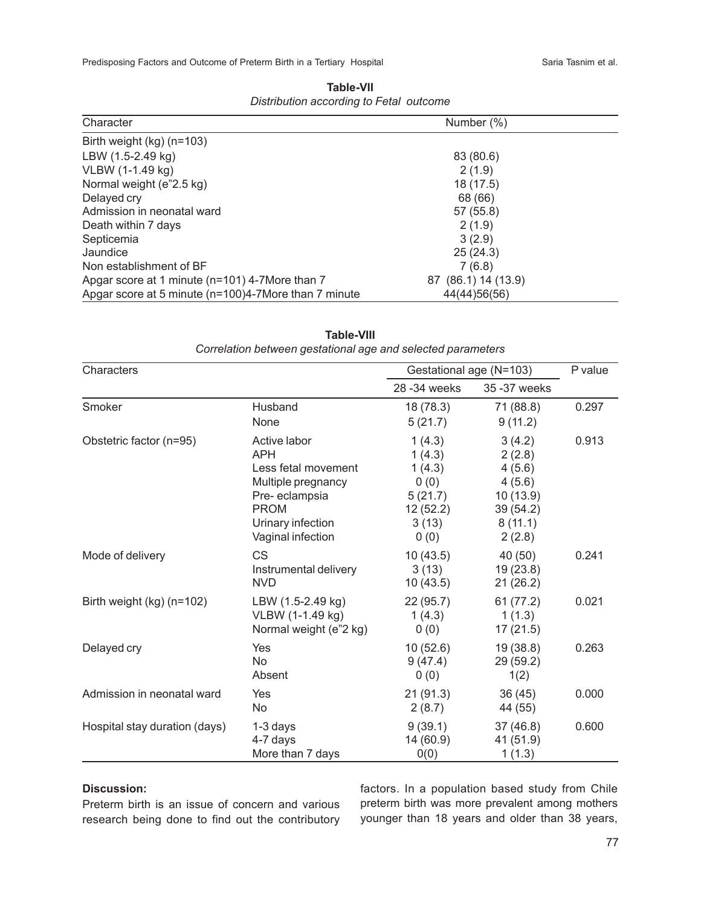Predisposing Factors and Outcome of Preterm Birth in a Tertiary Hospital Sanchenness Caria Tasnim et al.

| Character                                            | Number (%)          |  |
|------------------------------------------------------|---------------------|--|
| Birth weight $(kg)$ (n=103)                          |                     |  |
| LBW (1.5-2.49 kg)                                    | 83 (80.6)           |  |
| VLBW (1-1.49 kg)                                     | 2(1.9)              |  |
| Normal weight (e"2.5 kg)                             | 18 (17.5)           |  |
| Delayed cry                                          | 68 (66)             |  |
| Admission in neonatal ward                           | 57 (55.8)           |  |
| Death within 7 days                                  | 2(1.9)              |  |
| Septicemia                                           | 3(2.9)              |  |
| Jaundice                                             | 25(24.3)            |  |
| Non establishment of BF                              | 7(6.8)              |  |
| Apgar score at 1 minute (n=101) 4-7More than 7       | 87 (86.1) 14 (13.9) |  |
| Apgar score at 5 minute (n=100)4-7More than 7 minute | 44(44)56(56)        |  |

**Table-VII** *Distribution according to Fetal outcome*

| Characters                    |                                                                                                                                                   | Gestational age (N=103)                                                    |                                                                                   | P value |
|-------------------------------|---------------------------------------------------------------------------------------------------------------------------------------------------|----------------------------------------------------------------------------|-----------------------------------------------------------------------------------|---------|
|                               |                                                                                                                                                   | 28 - 34 weeks                                                              | 35 - 37 weeks                                                                     |         |
| Smoker                        | Husband<br>None                                                                                                                                   | 18 (78.3)<br>5(21.7)                                                       | 71 (88.8)<br>9(11.2)                                                              | 0.297   |
| Obstetric factor (n=95)       | Active labor<br><b>APH</b><br>Less fetal movement<br>Multiple pregnancy<br>Pre-eclampsia<br><b>PROM</b><br>Urinary infection<br>Vaginal infection | 1(4.3)<br>1(4.3)<br>1(4.3)<br>0(0)<br>5(21.7)<br>12(52.2)<br>3(13)<br>0(0) | 3(4.2)<br>2(2.8)<br>4(5.6)<br>4(5.6)<br>10(13.9)<br>39(54.2)<br>8(11.1)<br>2(2.8) | 0.913   |
| Mode of delivery              | <b>CS</b><br>Instrumental delivery<br><b>NVD</b>                                                                                                  | 10(43.5)<br>3(13)<br>10(43.5)                                              | 40 (50)<br>19(23.8)<br>21(26.2)                                                   | 0.241   |
| Birth weight $(kg)$ (n=102)   | LBW (1.5-2.49 kg)<br>VLBW (1-1.49 kg)<br>Normal weight (e"2 kg)                                                                                   | 22(95.7)<br>1(4.3)<br>0(0)                                                 | 61(77.2)<br>1(1.3)<br>17(21.5)                                                    | 0.021   |
| Delayed cry                   | Yes<br>No<br>Absent                                                                                                                               | 10(52.6)<br>9(47.4)<br>0(0)                                                | 19(38.8)<br>29 (59.2)<br>1(2)                                                     | 0.263   |
| Admission in neonatal ward    | Yes<br>No                                                                                                                                         | 21(91.3)<br>2(8.7)                                                         | 36(45)<br>44 (55)                                                                 | 0.000   |
| Hospital stay duration (days) | 1-3 days<br>4-7 days<br>More than 7 days                                                                                                          | 9(39.1)<br>14 (60.9)<br>0(0)                                               | 37(46.8)<br>41 (51.9)<br>1(1.3)                                                   | 0.600   |

**Table-VIII** *Correlation between gestational age and selected parameters*

#### **Discussion:**

Preterm birth is an issue of concern and various research being done to find out the contributory

factors. In a population based study from Chile preterm birth was more prevalent among mothers younger than 18 years and older than 38 years,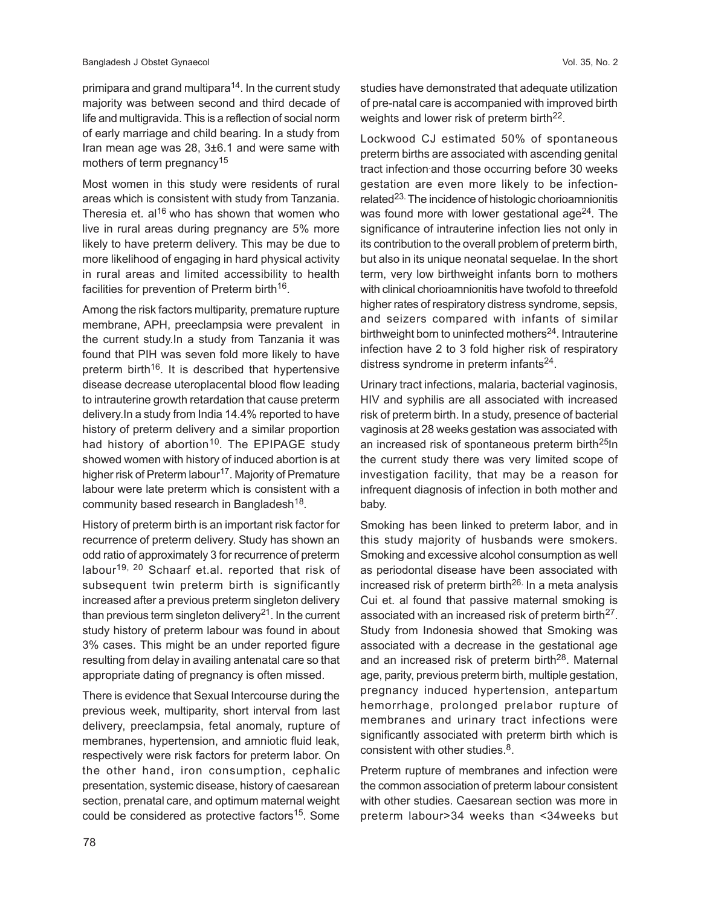primipara and grand multipara<sup>14</sup>. In the current study majority was between second and third decade of life and multigravida. This is a reflection of social norm of early marriage and child bearing. In a study from Iran mean age was 28, 3±6.1 and were same with mothers of term pregnancy<sup>15</sup>

Most women in this study were residents of rural areas which is consistent with study from Tanzania. Theresia et.  $al^{16}$  who has shown that women who live in rural areas during pregnancy are 5% more likely to have preterm delivery. This may be due to more likelihood of engaging in hard physical activity in rural areas and limited accessibility to health facilities for prevention of Preterm birth $16$ .

Among the risk factors multiparity, premature rupture membrane, APH, preeclampsia were prevalent in the current study.In a study from Tanzania it was found that PIH was seven fold more likely to have preterm birth<sup>16</sup>. It is described that hypertensive disease decrease uteroplacental blood flow leading to intrauterine growth retardation that cause preterm delivery.In a study from India 14.4% reported to have history of preterm delivery and a similar proportion had history of abortion<sup>10</sup>. The EPIPAGE study showed women with history of induced abortion is at higher risk of Preterm labour<sup>17</sup>. Majority of Premature labour were late preterm which is consistent with a community based research in Bangladesh<sup>18</sup>.

History of preterm birth is an important risk factor for recurrence of preterm delivery. Study has shown an odd ratio of approximately 3 for recurrence of preterm labour<sup>19, 20</sup> Schaarf et.al. reported that risk of subsequent twin preterm birth is significantly increased after a previous preterm singleton delivery than previous term singleton delivery<sup>21</sup>. In the current study history of preterm labour was found in about 3% cases. This might be an under reported figure resulting from delay in availing antenatal care so that appropriate dating of pregnancy is often missed.

There is evidence that Sexual Intercourse during the previous week, multiparity, short interval from last delivery, preeclampsia, fetal anomaly, rupture of membranes, hypertension, and amniotic fluid leak, respectively were risk factors for preterm labor. On the other hand, iron consumption, cephalic presentation, systemic disease, history of caesarean section, prenatal care, and optimum maternal weight could be considered as protective factors<sup>15</sup>. Some

studies have demonstrated that adequate utilization of pre-natal care is accompanied with improved birth weights and lower risk of preterm birth<sup>22</sup>.

Lockwood CJ estimated 50% of spontaneous preterm births are associated with ascending genital tract infection.and those occurring before 30 weeks gestation are even more likely to be infectionrelated<sup>23.</sup> The incidence of histologic chorioamnionitis was found more with lower gestational age $^{24}$ . The significance of intrauterine infection lies not only in its contribution to the overall problem of preterm birth, but also in its unique neonatal sequelae. In the short term, very low birthweight infants born to mothers with clinical chorioamnionitis have twofold to threefold higher rates of respiratory distress syndrome, sepsis, and seizers compared with infants of similar birthweight born to uninfected mothers<sup>24</sup>. Intrauterine infection have 2 to 3 fold higher risk of respiratory distress syndrome in preterm infants<sup>24</sup>.

Urinary tract infections, malaria, bacterial vaginosis, HIV and syphilis are all associated with increased risk of preterm birth. In a study, presence of bacterial vaginosis at 28 weeks gestation was associated with an increased risk of spontaneous preterm birth<sup>25</sup>In the current study there was very limited scope of investigation facility, that may be a reason for infrequent diagnosis of infection in both mother and baby.

Smoking has been linked to preterm labor, and in this study majority of husbands were smokers. Smoking and excessive alcohol consumption as well as periodontal disease have been associated with increased risk of preterm birth<sup>26.</sup> In a meta analysis Cui et. al found that passive maternal smoking is associated with an increased risk of preterm birth<sup>27</sup>. Study from Indonesia showed that Smoking was associated with a decrease in the gestational age and an increased risk of preterm birth<sup>28</sup>. Maternal age, parity, previous preterm birth, multiple gestation, pregnancy induced hypertension, antepartum hemorrhage, prolonged prelabor rupture of membranes and urinary tract infections were significantly associated with preterm birth which is consistent with other studies.<sup>8</sup>.

Preterm rupture of membranes and infection were the common association of preterm labour consistent with other studies. Caesarean section was more in preterm labour>34 weeks than <34weeks but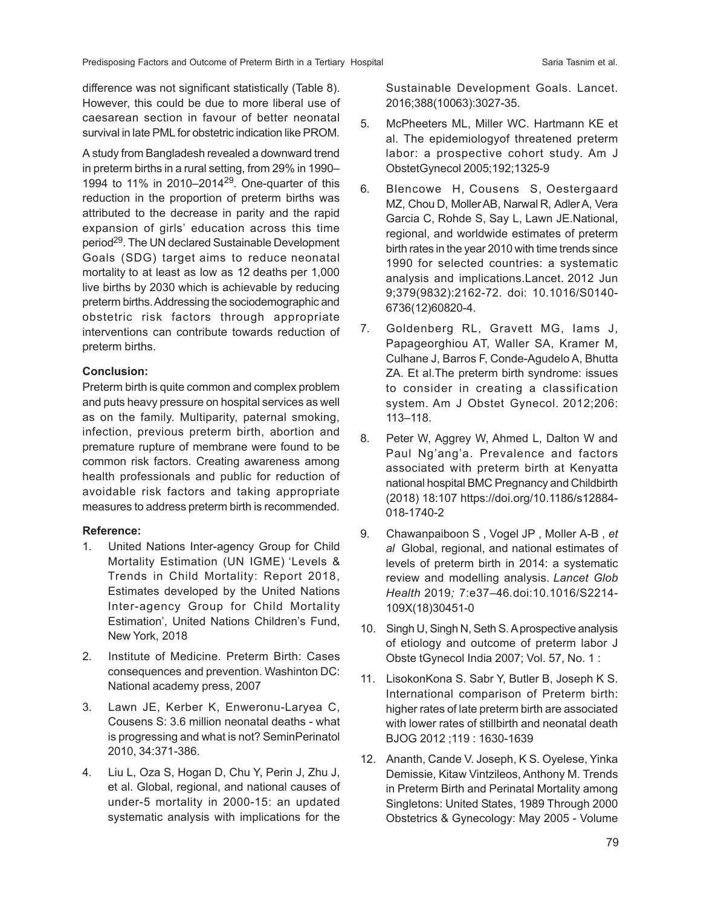difference was not significant statistically (Table 8). However, this could be due to more liberal use of caesarean section in favour of better neonatal survival in late PML for obstetric indication like PROM.

A study from Bangladesh revealed a downward trend in preterm births in a rural setting, from 29% in 1990– 1994 to 11% in 2010–201429. One-quarter of this reduction in the proportion of preterm births was attributed to the decrease in parity and the rapid expansion of girls' education across this time period<sup>29</sup>. The UN declared Sustainable Development Goals (SDG) target aims to reduce neonatal mortality to at least as low as 12 deaths per 1,000 live births by 2030 which is achievable by reducing preterm births. Addressing the sociodemographic and obstetric risk factors through appropriate interventions can contribute towards reduction of preterm births.

#### **Conclusion:**

Preterm birth is quite common and complex problem and puts heavy pressure on hospital services as well as on the family. Multiparity, paternal smoking, infection, previous preterm birth, abortion and premature rupture of membrane were found to be common risk factors. Creating awareness among health professionals and public for reduction of avoidable risk factors and taking appropriate measures to address preterm birth is recommended.

#### **Reference:**

- 1. United Nations Inter-agency Group for Child Mortality Estimation (UN IGME) 'Levels & Trends in Child Mortality: Report 2018, Estimates developed by the United Nations Inter-agency Group for Child Mortality Estimation', United Nations Children's Fund, New York, 2018
- 2. Institute of Medicine. Preterm Birth: Cases consequences and prevention. Washinton DC: National academy press, 2007
- 3. Lawn JE, Kerber K, Enweronu-Laryea C, Cousens S: 3.6 million neonatal deaths - what is progressing and what is not? SeminPerinatol 2010, 34:371-386.
- 4. Liu L, Oza S, Hogan D, Chu Y, Perin J, Zhu J, et al. Global, regional, and national causes of under-5 mortality in 2000-15: an updated systematic analysis with implications for the

Sustainable Development Goals. Lancet. 2016;388(10063):3027-35.

- 5. McPheeters ML, Miller WC. Hartmann KE et al. The epidemiologyof threatened preterm labor: a prospective cohort study. Am J ObstetGynecol 2005;192;1325-9
- 6. Blencowe H, Cousens S, Oestergaard MZ, Chou D, Moller AB, Narwal R, Adler A, Vera Garcia C, Rohde S, Say L, Lawn JE.National, regional, and worldwide estimates of preterm birth rates in the year 2010 with time trends since 1990 for selected countries: a systematic analysis and implications.Lancet. 2012 Jun 9;379(9832):2162-72. doi: 10.1016/S0140- 6736(12)60820-4.
- 7. Goldenberg RL, Gravett MG, Iams J, Papageorghiou AT, Waller SA, Kramer M, Culhane J, Barros F, Conde-Agudelo A, Bhutta ZA. Et al.The preterm birth syndrome: issues to consider in creating a classification system. Am J Obstet Gynecol. 2012;206: 113–118.
- 8. Peter W, Aggrey W, Ahmed L, Dalton W and Paul Ng'ang'a. Prevalence and factors associated with preterm birth at Kenyatta national hospital BMC Pregnancy and Childbirth (2018) 18:107 https://doi.org/10.1186/s12884- 018-1740-2
- 9. Chawanpaiboon S , Vogel JP , Moller A-B , *et al* Global, regional, and national estimates of levels of preterm birth in 2014: a systematic review and modelling analysis*. Lancet Glob Health* 2019*;* 7:e37*–*46*.*doi:10.1016/S2214- 109X(18)30451-0
- 10. Singh U, Singh N, Seth S. A prospective analysis of etiology and outcome of preterm labor J Obste tGynecol India 2007; Vol. 57, No. 1 :
- 11. LisokonKona S. Sabr Y, Butler B, Joseph K S. International comparison of Preterm birth: higher rates of late preterm birth are associated with lower rates of stillbirth and neonatal death BJOG 2012 ;119 : 1630-1639
- 12. Ananth, Cande V. Joseph, K S. Oyelese, Yinka Demissie, Kitaw Vintzileos, Anthony M. Trends in Preterm Birth and Perinatal Mortality among Singletons: United States, 1989 Through 2000 Obstetrics & Gynecology: May 2005 - Volume